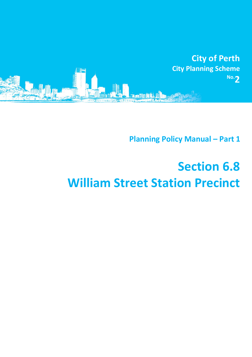

**Planning Policy Manual - Part 1** 

# **Section 6.8 William Street Station Precinct**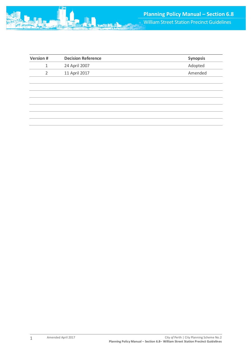| <b>Version#</b> | <b>Decision Reference</b> | Synopsis |
|-----------------|---------------------------|----------|
| $\mathbf{1}$    | 24 April 2007             | Adopted  |
| $\overline{2}$  | 11 April 2017             | Amended  |
|                 |                           |          |
|                 |                           |          |
|                 |                           |          |
|                 |                           |          |
|                 |                           |          |
|                 |                           |          |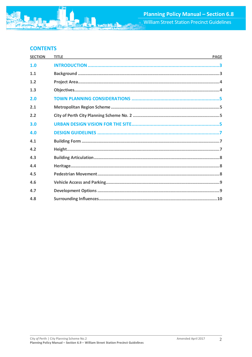

# **CONTENTS**

| <b>SECTION</b> | <b>TITLE</b><br><u> 1989 - Johann Stoff, deutscher Stoff, der Stoff, der Stoff, der Stoff, der Stoff, der Stoff, der Stoff, der S</u> | <b>PAGE</b> |
|----------------|---------------------------------------------------------------------------------------------------------------------------------------|-------------|
| 1.0            |                                                                                                                                       |             |
| 1.1            |                                                                                                                                       |             |
| $1.2$          |                                                                                                                                       |             |
| 1.3            |                                                                                                                                       |             |
| 2.0            |                                                                                                                                       |             |
| 2.1            |                                                                                                                                       |             |
| 2.2            |                                                                                                                                       |             |
| 3.0            |                                                                                                                                       |             |
| 4.0            |                                                                                                                                       |             |
| 4.1            |                                                                                                                                       |             |
| 4.2            |                                                                                                                                       |             |
| 4.3            |                                                                                                                                       |             |
| 4.4            |                                                                                                                                       |             |
| 4.5            |                                                                                                                                       |             |
| 4.6            |                                                                                                                                       |             |
| 4.7            |                                                                                                                                       |             |
| 4.8            |                                                                                                                                       |             |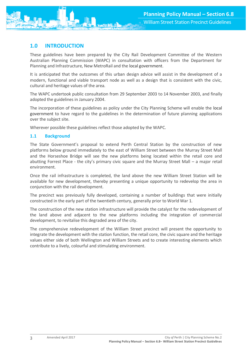

# <span id="page-3-0"></span>**1.0 INTRODUCTION**

These guidelines have been prepared by the City Rail Development Committee of the Western Australian Planning Commission (WAPC) in consultation with officers from the Department for Planning and Infrastructure, New MetroRail and the local government.

It is anticipated that the outcomes of this urban design advice will assist in the development of a modern, functional and viable transport node as well as a design that is consistent with the civic, cultural and heritage values of the area.

The WAPC undertook public consultation from 29 September 2003 to 14 November 2003, and finally adopted the guidelines in January 2004.

The incorporation of these guidelines as policy under the City Planning Scheme will enable the local government to have regard to the guidelines in the determination of future planning applications over the subject site.

Wherever possible these guidelines reflect those adopted by the WAPC.

# <span id="page-3-1"></span>**1.1 Background**

The State Government's proposal to extend Perth Central Station by the construction of new platforms below ground immediately to the east of William Street between the Murray Street Mall and the Horseshoe Bridge will see the new platforms being located within the retail core and abutting Forrest Place - the city's primary civic square and the Murray Street Mall – a major retail environment.

Once the rail infrastructure is completed, the land above the new William Street Station will be available for new development, thereby presenting a unique opportunity to redevelop the area in conjunction with the rail development.

The precinct was previously fully developed, containing a number of buildings that were initially constructed in the early part of the twentieth century, generally prior to World War 1.

The construction of the new station infrastructure will provide the catalyst for the redevelopment of the land above and adjacent to the new platforms including the integration of commercial development, to revitalise this degraded area of the city.

The comprehensive redevelopment of the William Street precinct will present the opportunity to integrate the development with the station function, the retail core, the civic square and the heritage values either side of both Wellington and William Streets and to create interesting elements which contribute to a lively, colourful and stimulating environment.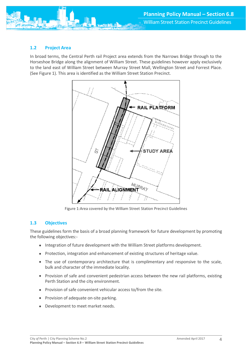<span id="page-4-0"></span>

In broad terms, the Central Perth rail Project area extends from the Narrows Bridge through to the Horseshoe Bridge along the alignment of William Street. These guidelines however apply exclusively to the land east of William Street between Murray Street Mall, Wellington Street and Forrest Place. (See Figure 1). This area is identified as the William Street Station Precinct.



Figure 1:Area covered by the William Street Station Precinct Guidelines

#### <span id="page-4-1"></span>**1.3 Objectives**

These guidelines form the basis of a broad planning framework for future development by promoting the following objectives:-

- Integration of future development with the William Street platforms development.
- Protection, integration and enhancement of existing structures of heritage value.
- The use of contemporary architecture that is complimentary and responsive to the scale, bulk and character of the immediate locality.
- Provision of safe and convenient pedestrian access between the new rail platforms, existing Perth Station and the city environment.
- Provision of safe convenient vehicular access to/from the site.
- Provision of adequate on-site parking.
- Development to meet market needs.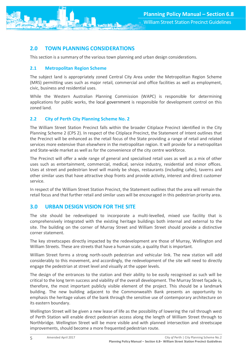# <span id="page-5-0"></span>**2.0 TOWN PLANNING CONSIDERATIONS**

This section is a summary of the various town planning and urban design considerations.

# <span id="page-5-1"></span>**2.1 Metropolitan Region Scheme**

The subject land is appropriately zoned Central City Area under the Metropolitan Region Scheme (MRS) permitting uses such as major retail, commercial and office facilities as well as employment, civic, business and residential uses.

While the Western Australian Planning Commission (WAPC) is responsible for determining applications for public works, the local government is responsible for development control on this zoned land.

# <span id="page-5-2"></span>**2.2 City of Perth City Planning Scheme No. 2**

The William Street Station Precinct falls within the broader Citiplace Precinct identified in the City Planning Scheme 2 (CPS 2). In respect of the Citiplace Precinct, the Statement of Intent outlines that the Precinct will be enhanced as the retail focus of the State providing a range of retail and related services more extensive than elsewhere in the metropolitan region. It will provide for a metropolitan and State-wide market as well as for the convenience of the city centre workforce.

The Precinct will offer a wide range of general and specialised retail uses as well as a mix of other uses such as entertainment, commercial, medical, service industry, residential and minor offices. Uses at street and pedestrian level will mainly be shops, restaurants (including cafes), taverns and other similar uses that have attractive shop fronts and provide activity, interest and direct customer service.

In respect of the William Street Station Precinct, the Statement outlines that the area will remain the retail focus and that further retail and similar uses will be encouraged in this pedestrian priority area.

# <span id="page-5-3"></span>**3.0 URBAN DESIGN VISION FOR THE SITE**

The site should be redeveloped to incorporate a multi-levelled, mixed use facility that is comprehensively integrated with the existing heritage buildings both internal and external to the site. The building on the corner of Murray Street and William Street should provide a distinctive corner statement.

The key streetscapes directly impacted by the redevelopment are those of Murray, Wellington and William Streets. These are streets that have a human scale, a quality that is important.

William Street forms a strong north-south pedestrian and vehicular link. The new station will add considerably to this movement, and accordingly, the redevelopment of the site will need to directly engage the pedestrian at street level and visually at the upper levels.

The design of the entrances to the station and their ability to be easily recognised as such will be critical to the long term success and viability of the overall development. The Murray Street façade is, therefore, the most important publicly visible element of the project. This should be a landmark building. The new building adjacent to the Commonwealth Bank presents an opportunity to emphasis the heritage values of the bank through the sensitive use of contemporary architecture on its eastern boundary.

Wellington Street will be given a new lease of life as the possibility of lowering the rail through west of Perth Station will enable direct pedestrian access along the length of William Street through to Northbridge. Wellington Street will be more visible and with planned intersection and streetscape improvements, should become a more frequented pedestrian route.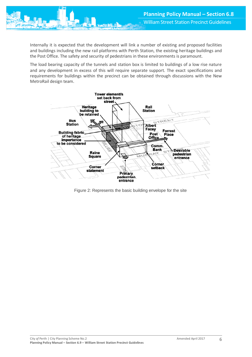Internally it is expected that the development will link a number of existing and proposed facilities and buildings including the new rail platforms with Perth Station, the existing heritage buildings and the Post Office. The safety and security of pedestrians in these environments is paramount.

The load bearing capacity of the tunnels and station box is limited to buildings of a low rise nature and any development in excess of this will require separate support. The exact specifications and requirements for buildings within the precinct can be obtained through discussions with the New MetroRail design team.



Figure 2: Represents the basic building envelope for the site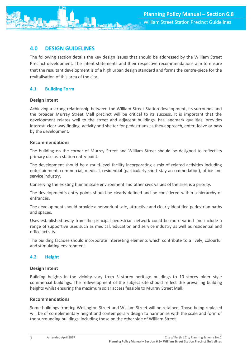

# <span id="page-7-0"></span>**4.0 DESIGN GUIDELINES**

The following section details the key design issues that should be addressed by the William Street Precinct development. The intent statements and their respective recommendations aim to ensure that the resultant development is of a high urban design standard and forms the centre-piece for the revitalisation of this area of the city.

# <span id="page-7-1"></span>**4.1 Building Form**

# **Design Intent**

Achieving a strong relationship between the William Street Station development, its surrounds and the broader Murray Street Mall precinct will be critical to its success. It is important that the development relates well to the street and adjacent buildings, has landmark qualities, provides interest, clear way finding, activity and shelter for pedestrians as they approach, enter, leave or pass by the development.

# **Recommendations**

The building on the corner of Murray Street and William Street should be designed to reflect its primary use as a station entry point.

The development should be a multi-level facility incorporating a mix of related activities including entertainment, commercial, medical, residential (particularly short stay accommodation), office and service industry.

Conserving the existing human scale environment and other civic values of the area is a priority.

The development's entry points should be clearly defined and be considered within a hierarchy of entrances.

The development should provide a network of safe, attractive and clearly identified pedestrian paths and spaces.

Uses established away from the principal pedestrian network could be more varied and include a range of supportive uses such as medical, education and service industry as well as residential and office activity.

The building facades should incorporate interesting elements which contribute to a lively, colourful and stimulating environment.

# <span id="page-7-2"></span>**4.2 Height**

# **Design Intent**

Building heights in the vicinity vary from 3 storey heritage buildings to 10 storey older style commercial buildings. The redevelopment of the subject site should reflect the prevailing building heights whilst ensuring the maximum solar access feasible to Murray Street Mall.

# **Recommendations**

Some buildings fronting Wellington Street and William Street will be retained. Those being replaced will be of complementary height and contemporary design to harmonise with the scale and form of the surrounding buildings, including those on the other side of William Street.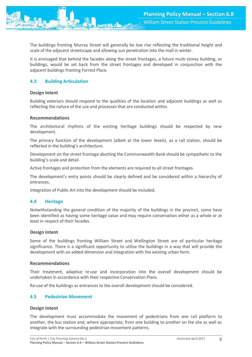The buildings fronting Murray Street will generally be low rise reflecting the traditional height and scale of the adjacent streetscape and allowing sun penetration into the mall in winter.

It is envisaged that behind the facades along the street frontages, a future multi-storey building, or buildings, would be set back from the street frontages and developed in conjunction with the adjacent buildings fronting Forrest Place.

# <span id="page-8-0"></span>**4.3 Building Articulation**

#### **Design Intent**

Building exteriors should respond to the qualities of the location and adjacent buildings as well as reflecting the nature of the use and processes that are conducted within.

#### **Recommendations**

The architectural rhythms of the existing heritage buildings should be respected by new development.

The primary function of the development (albeit at the lower levels), as a rail station, should be reflected in the building's architecture.

Development on the street frontage abutting the Commonwealth Bank should be sympathetic to the building's scale and detail.

Active frontages and protection from the elements are required to all street frontages.

The development's entry points should be clearly defined and be considered within a hierarchy of entrances.

Integration of Public Art into the development should be included.

#### <span id="page-8-1"></span>**4.4 Heritage**

Notwithstanding the general condition of the majority of the buildings in the precinct, some have been identified as having some heritage value and may require conservation either as a whole or at least in respect of their facades.

#### **Design Intent**

Some of the buildings fronting William Street and Wellington Street are of particular heritage significance. There is a significant opportunity to utilise the buildings in a way that will provide the development with an added dimension and integration with the existing urban form.

#### **Recommendations**

Their treatment, adaptive re-use and incorporation into the overall development should be undertaken in accordance with their respective Conservation Plans.

Re-use of the buildings as entrances to the overall development should be considered.

# <span id="page-8-2"></span>**4.5 Pedestrian Movement**

#### **Design Intent**

The development must accommodate the movement of pedestrians from one rail platform to another, the bus station and, where appropriate, from one building to another on the site as well as integrate with the surrounding pedestrian movement patterns.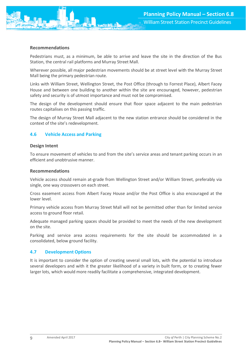

Pedestrians must, as a minimum, be able to arrive and leave the site in the direction of the Bus Station, the central rail platforms and Murray Street Mall.

Wherever possible, all major pedestrian movements should be at street level with the Murray Street Mall being the primary pedestrian route.

Links with William Street, Wellington Street, the Post Office (through to Forrest Place), Albert Facey House and between one building to another within the site are encouraged, however, pedestrian safety and security is of utmost importance and must not be compromised.

The design of the development should ensure that floor space adjacent to the main pedestrian routes capitalises on this passing traffic.

The design of Murray Street Mall adjacent to the new station entrance should be considered in the context of the site's redevelopment.

#### <span id="page-9-0"></span>**4.6 Vehicle Access and Parking**

#### **Design Intent**

To ensure movement of vehicles to and from the site's service areas and tenant parking occurs in an efficient and unobtrusive manner.

#### **Recommendations**

Vehicle access should remain at-grade from Wellington Street and/or William Street, preferably via single, one way crossovers on each street.

Cross easement access from Albert Facey House and/or the Post Office is also encouraged at the lower level.

Primary vehicle access from Murray Street Mall will not be permitted other than for limited service access to ground floor retail.

Adequate managed parking spaces should be provided to meet the needs of the new development on the site.

Parking and service area access requirements for the site should be accommodated in a consolidated, below ground facility.

#### <span id="page-9-1"></span>**4.7 Development Options**

It is important to consider the option of creating several small lots, with the potential to introduce several developers and with it the greater likelihood of a variety in built form, or to creating fewer larger lots, which would more readily facilitate a comprehensive, integrated development.